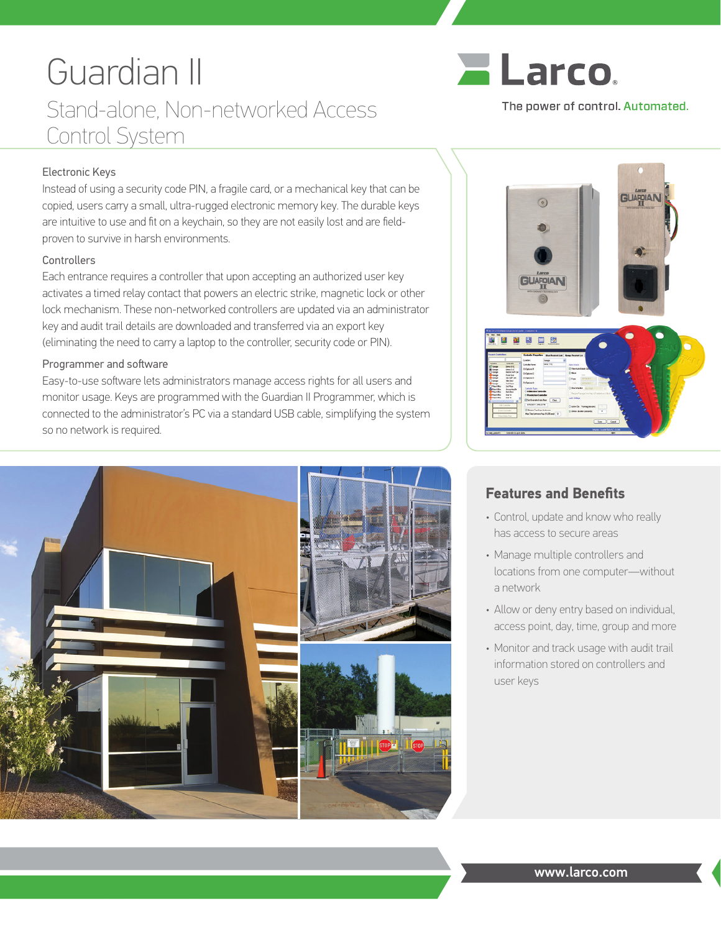# Guardian II Stand-alone, Non-networked Access Control System



## The power of control. Automated.

### Electronic Keys

Instead of using a security code PIN, a fragile card, or a mechanical key that can be copied, users carry a small, ultra-rugged electronic memory key. The durable keys are intuitive to use and fit on a keychain, so they are not easily lost and are fieldproven to survive in harsh environments.

#### **Controllers**

Each entrance requires a controller that upon accepting an authorized user key activates a timed relay contact that powers an electric strike, magnetic lock or other lock mechanism. These non-networked controllers are updated via an administrator key and audit trail details are downloaded and transferred via an export key (eliminating the need to carry a laptop to the controller, security code or PIN).

#### Programmer and software

Easy-to-use software lets administrators manage access rights for all users and monitor usage. Keys are programmed with the Guardian II Programmer, which is connected to the administrator's PC via a standard USB cable, simplifying the system so no network is required.





## **Features and Benefits**

- Control, update and know who really has access to secure areas
- Manage multiple controllers and locations from one computer—without a network
- Allow or deny entry based on individual, access point, day, time, group and more
- Monitor and track usage with audit trail information stored on controllers and user keys